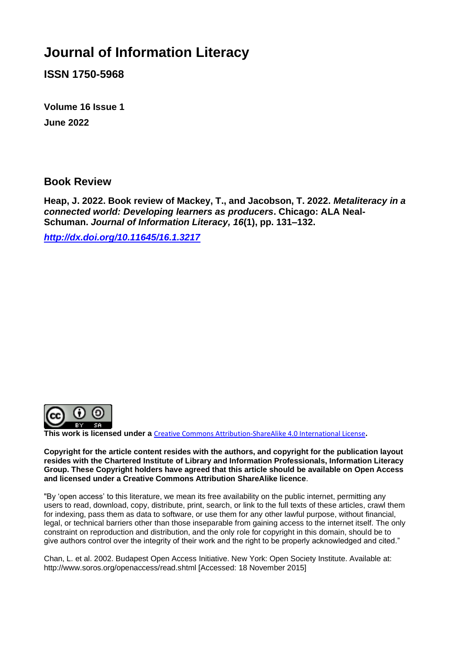## **Journal of Information Literacy**

**ISSN 1750-5968**

**Volume 16 Issue 1 June 2022**

## **Book Review**

**Heap, J. 2022. Book review of Mackey, T., and Jacobson, T. 2022.** *Metaliteracy in a connected world: Developing learners as producers***. Chicago: ALA Neal-Schuman.** *Journal of Information Literacy, 16***(1), pp. 131–132.**

*<http://dx.doi.org/10.11645/16.1.3217>*



**This work is licensed under a** [Creative Commons Attribution-ShareAlike 4.0 International License](http://creativecommons.org/licenses/by-sa/4.0/)**.**

**Copyright for the article content resides with the authors, and copyright for the publication layout resides with the Chartered Institute of Library and Information Professionals, Information Literacy Group. These Copyright holders have agreed that this article should be available on Open Access and licensed under a Creative Commons Attribution ShareAlike licence**.

"By 'open access' to this literature, we mean its free availability on the public internet, permitting any users to read, download, copy, distribute, print, search, or link to the full texts of these articles, crawl them for indexing, pass them as data to software, or use them for any other lawful purpose, without financial, legal, or technical barriers other than those inseparable from gaining access to the internet itself. The only constraint on reproduction and distribution, and the only role for copyright in this domain, should be to give authors control over the integrity of their work and the right to be properly acknowledged and cited."

Chan, L. et al. 2002. Budapest Open Access Initiative. New York: Open Society Institute. Available at: http://www.soros.org/openaccess/read.shtml [Accessed: 18 November 2015]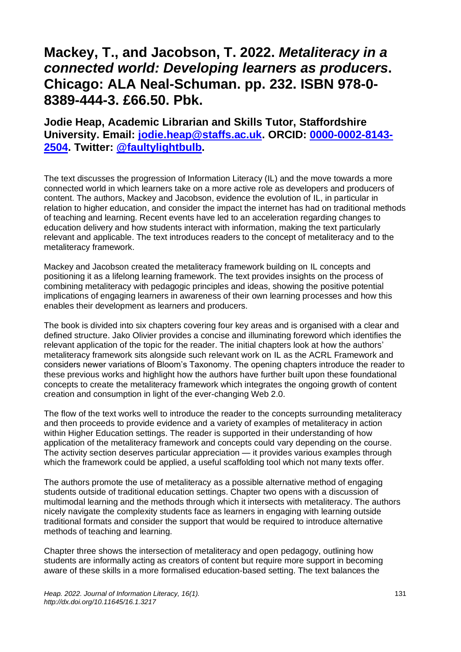## **Mackey, T., and Jacobson, T. 2022.** *Metaliteracy in a connected world: Developing learners as producers***. Chicago: ALA Neal-Schuman. pp. 232. ISBN 978-0- 8389-444-3. £66.50. Pbk.**

## **Jodie Heap, Academic Librarian and Skills Tutor, Staffordshire University. Email: [jodie.heap@staffs.ac.uk.](mailto:jodie.heap@staffs.ac.uk) ORCID: [0000-0002-8143-](https://orcid.org/%20%200000-0002-8143-2504) [2504.](https://orcid.org/%20%200000-0002-8143-2504) Twitter: [@faultylightbulb.](https://twitter.com/faultylightbulb?lang=en-GB)**

The text discusses the progression of Information Literacy (IL) and the move towards a more connected world in which learners take on a more active role as developers and producers of content. The authors, Mackey and Jacobson, evidence the evolution of IL, in particular in relation to higher education, and consider the impact the internet has had on traditional methods of teaching and learning. Recent events have led to an acceleration regarding changes to education delivery and how students interact with information, making the text particularly relevant and applicable. The text introduces readers to the concept of metaliteracy and to the metaliteracy framework.

Mackey and Jacobson created the metaliteracy framework building on IL concepts and positioning it as a lifelong learning framework. The text provides insights on the process of combining metaliteracy with pedagogic principles and ideas, showing the positive potential implications of engaging learners in awareness of their own learning processes and how this enables their development as learners and producers.

The book is divided into six chapters covering four key areas and is organised with a clear and defined structure. Jako Olivier provides a concise and illuminating foreword which identifies the relevant application of the topic for the reader. The initial chapters look at how the authors' metaliteracy framework sits alongside such relevant work on IL as the ACRL Framework and considers newer variations of Bloom's Taxonomy. The opening chapters introduce the reader to these previous works and highlight how the authors have further built upon these foundational concepts to create the metaliteracy framework which integrates the ongoing growth of content creation and consumption in light of the ever-changing Web 2.0.

The flow of the text works well to introduce the reader to the concepts surrounding metaliteracy and then proceeds to provide evidence and a variety of examples of metaliteracy in action within Higher Education settings. The reader is supported in their understanding of how application of the metaliteracy framework and concepts could vary depending on the course. The activity section deserves particular appreciation — it provides various examples through which the framework could be applied, a useful scaffolding tool which not many texts offer.

The authors promote the use of metaliteracy as a possible alternative method of engaging students outside of traditional education settings. Chapter two opens with a discussion of multimodal learning and the methods through which it intersects with metaliteracy. The authors nicely navigate the complexity students face as learners in engaging with learning outside traditional formats and consider the support that would be required to introduce alternative methods of teaching and learning.

Chapter three shows the intersection of metaliteracy and open pedagogy, outlining how students are informally acting as creators of content but require more support in becoming aware of these skills in a more formalised education-based setting. The text balances the